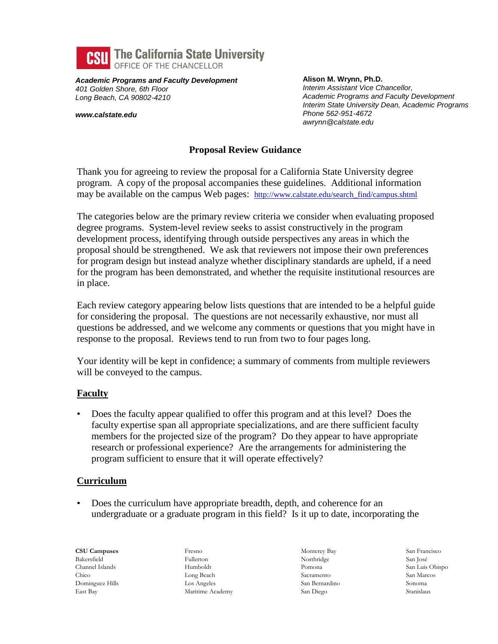

*Academic Programs and Faculty Development 401 Golden Shore, 6th Floor Long Beach, CA 90802-4210*

*www.calstate.edu*

**Alison M. Wrynn, Ph.D.** *Interim Assistant Vice Chancellor, Academic Programs and Faculty Development Interim State University Dean, Academic Programs Phone 562-951-4672 awrynn@calstate.edu*

## **Proposal Review Guidance**

Thank you for agreeing to review the proposal for a California State University degree program. A copy of the proposal accompanies these guidelines. Additional information may be available on the campus Web pages: [http://www.calstate.edu/search\\_find/campus.shtml](http://www.calstate.edu/search_find/campus.shtml)

The categories below are the primary review criteria we consider when evaluating proposed degree programs. System-level review seeks to assist constructively in the program development process, identifying through outside perspectives any areas in which the proposal should be strengthened. We ask that reviewers not impose their own preferences for program design but instead analyze whether disciplinary standards are upheld, if a need for the program has been demonstrated, and whether the requisite institutional resources are in place.

Each review category appearing below lists questions that are intended to be a helpful guide for considering the proposal. The questions are not necessarily exhaustive, nor must all questions be addressed, and we welcome any comments or questions that you might have in response to the proposal. Reviews tend to run from two to four pages long.

Your identity will be kept in confidence; a summary of comments from multiple reviewers will be conveyed to the campus.

### **Faculty**

• Does the faculty appear qualified to offer this program and at this level? Does the faculty expertise span all appropriate specializations, and are there sufficient faculty members for the projected size of the program? Do they appear to have appropriate research or professional experience? Are the arrangements for administering the program sufficient to ensure that it will operate effectively?

### **Curriculum**

• Does the curriculum have appropriate breadth, depth, and coherence for an undergraduate or a graduate program in this field? Is it up to date, incorporating the

**CSU Campuses** Bakersfield Channel Islands Chico Dominguez Hills East Bay

Fresno Fullerton Humboldt Long Beach Los Angeles Maritime Academy Monterey Bay Northridge Pomona Sacramento San Bernardino San Diego

San Francisco San José San Luis Obispo San Marcos Sonoma Stanislaus